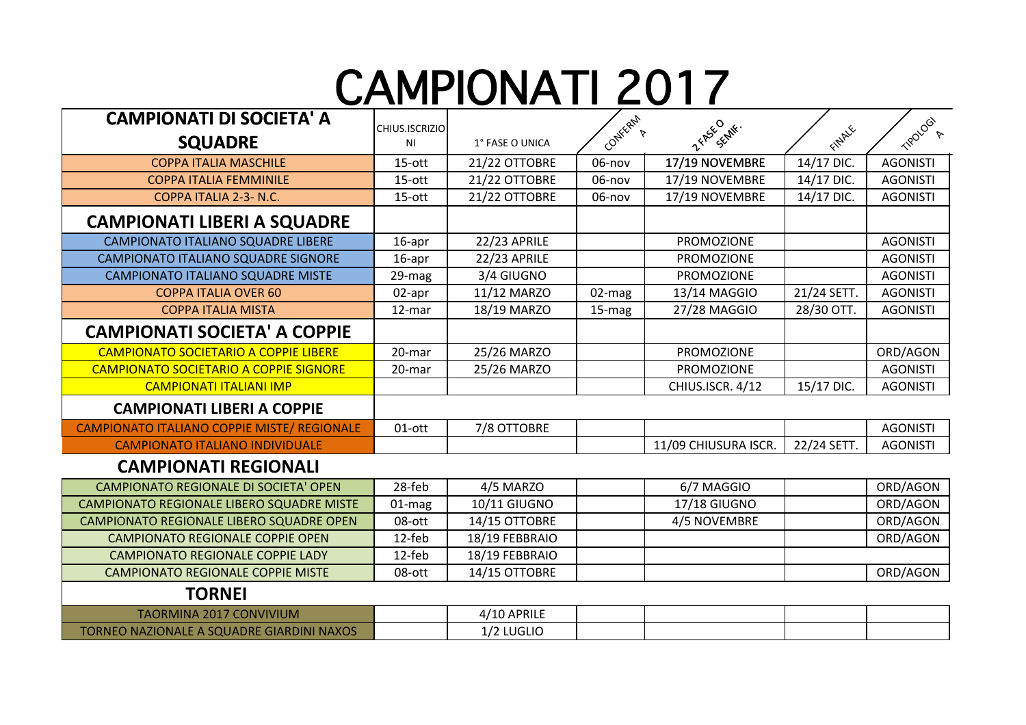## CAMPIONATI 2017

**FORFAIT** 

| <b>CAMPIONATI DI SOCIETA' A</b>                    | CHIUS.ISCRIZIO |                     |         |                      |             |                             |
|----------------------------------------------------|----------------|---------------------|---------|----------------------|-------------|-----------------------------|
| <b>SQUADRE</b>                                     | NI             | 1° FASE O UNICA     | CONTERN | Z FASE CRIME.        | FINALE      | TIPOLOGY<br>$\triangledown$ |
| <b>COPPA ITALIA MASCHILE</b>                       | 15-ott         | 21/22 OTTOBRE       | 06-nov  | 17/19 NOVEMBRE       | 14/17 DIC.  | <b>AGONISTI</b>             |
| <b>COPPA ITALIA FEMMINILE</b>                      | 15-ott         | 21/22 OTTOBRE       | 06-nov  | 17/19 NOVEMBRE       | 14/17 DIC.  | <b>AGONISTI</b>             |
| COPPA ITALIA 2-3- N.C.                             | 15-ott         | 21/22 OTTOBRE       | 06-nov  | 17/19 NOVEMBRE       | 14/17 DIC.  | <b>AGONISTI</b>             |
| <b>CAMPIONATI LIBERI A SQUADRE</b>                 |                |                     |         |                      |             |                             |
| <b>CAMPIONATO ITALIANO SQUADRE LIBERE</b>          | $16$ -apr      | 22/23 APRILE        |         | <b>PROMOZIONE</b>    |             | <b>AGONISTI</b>             |
| CAMPIONATO ITALIANO SQUADRE SIGNORE                | $16$ -apr      | <b>22/23 APRILE</b> |         | <b>PROMOZIONE</b>    |             | <b>AGONISTI</b>             |
| CAMPIONATO ITALIANO SQUADRE MISTE                  | 29-mag         | 3/4 GIUGNO          |         | <b>PROMOZIONE</b>    |             | <b>AGONISTI</b>             |
| <b>COPPA ITALIA OVER 60</b>                        | 02-apr         | 11/12 MARZO         | 02-mag  | 13/14 MAGGIO         | 21/24 SETT. | <b>AGONISTI</b>             |
| <b>COPPA ITALIA MISTA</b>                          | 12-mar         | 18/19 MARZO         | 15-mag  | 27/28 MAGGIO         | 28/30 OTT.  | <b>AGONISTI</b>             |
| <b>CAMPIONATI SOCIETA' A COPPIE</b>                |                |                     |         |                      |             |                             |
| <b>CAMPIONATO SOCIETARIO A COPPIE LIBERE</b>       | 20-mar         | 25/26 MARZO         |         | <b>PROMOZIONE</b>    |             | ORD/AGON                    |
| <b>CAMPIONATO SOCIETARIO A COPPIE SIGNORE</b>      | 20-mar         | 25/26 MARZO         |         | <b>PROMOZIONE</b>    |             | <b>AGONISTI</b>             |
| <b>CAMPIONATI ITALIANI IMP</b>                     |                |                     |         | CHIUS.ISCR. 4/12     | 15/17 DIC.  | <b>AGONISTI</b>             |
| <b>CAMPIONATI LIBERI A COPPIE</b>                  |                |                     |         |                      |             |                             |
| <b>CAMPIONATO ITALIANO COPPIE MISTE/ REGIONALE</b> | 01-ott         | 7/8 OTTOBRE         |         |                      |             | <b>AGONISTI</b>             |
| <b>CAMPIONATO ITALIANO INDIVIDUALE</b>             |                |                     |         | 11/09 CHIUSURA ISCR. | 22/24 SETT. | <b>AGONISTI</b>             |
| <b>CAMPIONATI REGIONALI</b>                        |                |                     |         |                      |             |                             |
| <b>CAMPIONATO REGIONALE DI SOCIETA' OPEN</b>       | 28-feb         | 4/5 MARZO           |         | 6/7 MAGGIO           |             | ORD/AGON                    |
| CAMPIONATO REGIONALE LIBERO SQUADRE MISTE          | 01-mag         | 10/11 GIUGNO        |         | 17/18 GIUGNO         |             | ORD/AGON                    |
| CAMPIONATO REGIONALE LIBERO SQUADRE OPEN           | 08-ott         | 14/15 OTTOBRE       |         | 4/5 NOVEMBRE         |             | ORD/AGON                    |
| <b>CAMPIONATO REGIONALE COPPIE OPEN</b>            | 12-feb         | 18/19 FEBBRAIO      |         |                      |             | ORD/AGON                    |
| <b>CAMPIONATO REGIONALE COPPIE LADY</b>            | 12-feb         | 18/19 FEBBRAIO      |         |                      |             |                             |
| <b>CAMPIONATO REGIONALE COPPIE MISTE</b>           | 08-ott         | 14/15 OTTOBRE       |         |                      |             | ORD/AGON                    |
| <b>TORNEI</b>                                      |                |                     |         |                      |             |                             |
| <b>TAORMINA 2017 CONVIVIUM</b>                     |                | 4/10 APRILE         |         |                      |             |                             |
| TORNEO NAZIONALE A SQUADRE GIARDINI NAXOS          |                | 1/2 LUGLIO          |         |                      |             |                             |